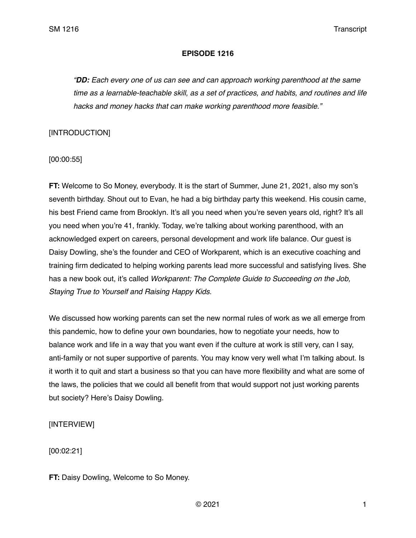### **EPISODE 1216**

*"DD: Each every one of us can see and can approach working parenthood at the same time as a learnable-teachable skill, as a set of practices, and habits, and routines and life hacks and money hacks that can make working parenthood more feasible."* 

## [INTRODUCTION]

[00:00:55]

**FT:** Welcome to So Money, everybody. It is the start of Summer, June 21, 2021, also my son's seventh birthday. Shout out to Evan, he had a big birthday party this weekend. His cousin came, his best Friend came from Brooklyn. It's all you need when you're seven years old, right? It's all you need when you're 41, frankly. Today, we're talking about working parenthood, with an acknowledged expert on careers, personal development and work life balance. Our guest is Daisy Dowling, she's the founder and CEO of Workparent, which is an executive coaching and training firm dedicated to helping working parents lead more successful and satisfying lives. She has a new book out, it's called *Workparent: The Complete Guide to Succeeding on the Job, Staying True to Yourself and Raising Happy Kids*.

We discussed how working parents can set the new normal rules of work as we all emerge from this pandemic, how to define your own boundaries, how to negotiate your needs, how to balance work and life in a way that you want even if the culture at work is still very, can I say, anti-family or not super supportive of parents. You may know very well what I'm talking about. Is it worth it to quit and start a business so that you can have more flexibility and what are some of the laws, the policies that we could all benefit from that would support not just working parents but society? Here's Daisy Dowling.

## [INTERVIEW]

[00:02:21]

**FT:** Daisy Dowling, Welcome to So Money.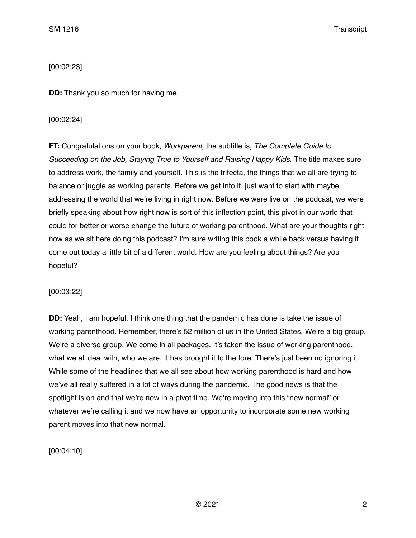[00:02:23]

**DD:** Thank you so much for having me.

### [00:02:24]

**FT:** Congratulations on your book, *Workparent,* the subtitle is, *The Complete Guide to Succeeding on the Job, Staying True to Yourself and Raising Happy Kids.* The title makes sure to address work, the family and yourself. This is the trifecta, the things that we all are trying to balance or juggle as working parents. Before we get into it, just want to start with maybe addressing the world that we're living in right now. Before we were live on the podcast, we were briefly speaking about how right now is sort of this inflection point, this pivot in our world that could for better or worse change the future of working parenthood. What are your thoughts right now as we sit here doing this podcast? I'm sure writing this book a while back versus having it come out today a little bit of a different world. How are you feeling about things? Are you hopeful?

[00:03:22]

**DD:** Yeah, I am hopeful. I think one thing that the pandemic has done is take the issue of working parenthood. Remember, there's 52 million of us in the United States. We're a big group. We're a diverse group. We come in all packages. It's taken the issue of working parenthood, what we all deal with, who we are. It has brought it to the fore. There's just been no ignoring it. While some of the headlines that we all see about how working parenthood is hard and how we've all really suffered in a lot of ways during the pandemic. The good news is that the spotlight is on and that we're now in a pivot time. We're moving into this "new normal" or whatever we're calling it and we now have an opportunity to incorporate some new working parent moves into that new normal.

[00:04:10]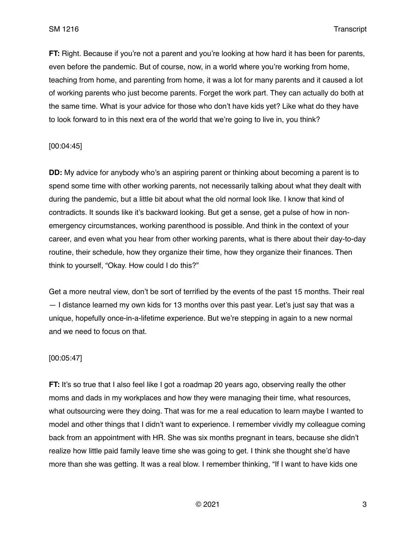**FT:** Right. Because if you're not a parent and you're looking at how hard it has been for parents, even before the pandemic. But of course, now, in a world where you're working from home, teaching from home, and parenting from home, it was a lot for many parents and it caused a lot of working parents who just become parents. Forget the work part. They can actually do both at the same time. What is your advice for those who don't have kids yet? Like what do they have to look forward to in this next era of the world that we're going to live in, you think?

### [00:04:45]

**DD:** My advice for anybody who's an aspiring parent or thinking about becoming a parent is to spend some time with other working parents, not necessarily talking about what they dealt with during the pandemic, but a little bit about what the old normal look like. I know that kind of contradicts. It sounds like it's backward looking. But get a sense, get a pulse of how in nonemergency circumstances, working parenthood is possible. And think in the context of your career, and even what you hear from other working parents, what is there about their day-to-day routine, their schedule, how they organize their time, how they organize their finances. Then think to yourself, "Okay. How could I do this?"

Get a more neutral view, don't be sort of terrified by the events of the past 15 months. Their real — I distance learned my own kids for 13 months over this past year. Let's just say that was a unique, hopefully once-in-a-lifetime experience. But we're stepping in again to a new normal and we need to focus on that.

### [00:05:47]

**FT:** It's so true that I also feel like I got a roadmap 20 years ago, observing really the other moms and dads in my workplaces and how they were managing their time, what resources, what outsourcing were they doing. That was for me a real education to learn maybe I wanted to model and other things that I didn't want to experience. I remember vividly my colleague coming back from an appointment with HR. She was six months pregnant in tears, because she didn't realize how little paid family leave time she was going to get. I think she thought she'd have more than she was getting. It was a real blow. I remember thinking, "If I want to have kids one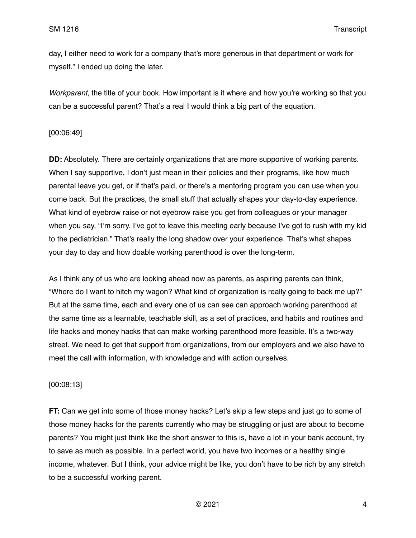day, I either need to work for a company that's more generous in that department or work for myself." I ended up doing the later.

*Workparent*, the title of your book. How important is it where and how you're working so that you can be a successful parent? That's a real I would think a big part of the equation.

### [00:06:49]

**DD:** Absolutely. There are certainly organizations that are more supportive of working parents. When I say supportive, I don't just mean in their policies and their programs, like how much parental leave you get, or if that's paid, or there's a mentoring program you can use when you come back. But the practices, the small stuff that actually shapes your day-to-day experience. What kind of eyebrow raise or not eyebrow raise you get from colleagues or your manager when you say, "I'm sorry. I've got to leave this meeting early because I've got to rush with my kid to the pediatrician." That's really the long shadow over your experience. That's what shapes your day to day and how doable working parenthood is over the long-term.

As I think any of us who are looking ahead now as parents, as aspiring parents can think, "Where do I want to hitch my wagon? What kind of organization is really going to back me up?" But at the same time, each and every one of us can see can approach working parenthood at the same time as a learnable, teachable skill, as a set of practices, and habits and routines and life hacks and money hacks that can make working parenthood more feasible. It's a two-way street. We need to get that support from organizations, from our employers and we also have to meet the call with information, with knowledge and with action ourselves.

## [00:08:13]

**FT:** Can we get into some of those money hacks? Let's skip a few steps and just go to some of those money hacks for the parents currently who may be struggling or just are about to become parents? You might just think like the short answer to this is, have a lot in your bank account, try to save as much as possible. In a perfect world, you have two incomes or a healthy single income, whatever. But I think, your advice might be like, you don't have to be rich by any stretch to be a successful working parent.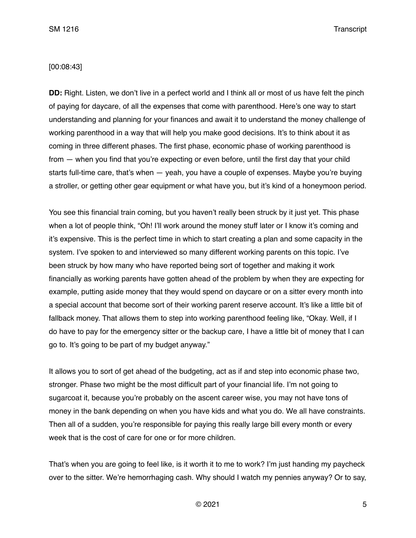### [00:08:43]

**DD:** Right. Listen, we don't live in a perfect world and I think all or most of us have felt the pinch of paying for daycare, of all the expenses that come with parenthood. Here's one way to start understanding and planning for your finances and await it to understand the money challenge of working parenthood in a way that will help you make good decisions. It's to think about it as coming in three different phases. The first phase, economic phase of working parenthood is from — when you find that you're expecting or even before, until the first day that your child starts full-time care, that's when — yeah, you have a couple of expenses. Maybe you're buying a stroller, or getting other gear equipment or what have you, but it's kind of a honeymoon period.

You see this financial train coming, but you haven't really been struck by it just yet. This phase when a lot of people think, "Oh! I'll work around the money stuff later or I know it's coming and it's expensive. This is the perfect time in which to start creating a plan and some capacity in the system. I've spoken to and interviewed so many different working parents on this topic. I've been struck by how many who have reported being sort of together and making it work financially as working parents have gotten ahead of the problem by when they are expecting for example, putting aside money that they would spend on daycare or on a sitter every month into a special account that become sort of their working parent reserve account. It's like a little bit of fallback money. That allows them to step into working parenthood feeling like, "Okay. Well, if I do have to pay for the emergency sitter or the backup care, I have a little bit of money that I can go to. It's going to be part of my budget anyway."

It allows you to sort of get ahead of the budgeting, act as if and step into economic phase two, stronger. Phase two might be the most difficult part of your financial life. I'm not going to sugarcoat it, because you're probably on the ascent career wise, you may not have tons of money in the bank depending on when you have kids and what you do. We all have constraints. Then all of a sudden, you're responsible for paying this really large bill every month or every week that is the cost of care for one or for more children.

That's when you are going to feel like, is it worth it to me to work? I'm just handing my paycheck over to the sitter. We're hemorrhaging cash. Why should I watch my pennies anyway? Or to say,

 $\degree$  2021 5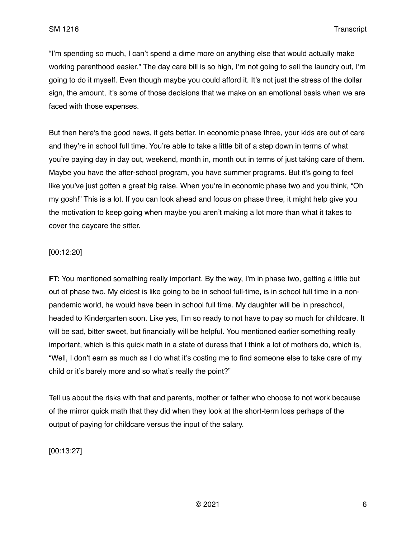"I'm spending so much, I can't spend a dime more on anything else that would actually make working parenthood easier." The day care bill is so high, I'm not going to sell the laundry out, I'm going to do it myself. Even though maybe you could afford it. It's not just the stress of the dollar sign, the amount, it's some of those decisions that we make on an emotional basis when we are faced with those expenses.

But then here's the good news, it gets better. In economic phase three, your kids are out of care and they're in school full time. You're able to take a little bit of a step down in terms of what you're paying day in day out, weekend, month in, month out in terms of just taking care of them. Maybe you have the after-school program, you have summer programs. But it's going to feel like you've just gotten a great big raise. When you're in economic phase two and you think, "Oh my gosh!" This is a lot. If you can look ahead and focus on phase three, it might help give you the motivation to keep going when maybe you aren't making a lot more than what it takes to cover the daycare the sitter.

## [00:12:20]

**FT:** You mentioned something really important. By the way, I'm in phase two, getting a little but out of phase two. My eldest is like going to be in school full-time, is in school full time in a nonpandemic world, he would have been in school full time. My daughter will be in preschool, headed to Kindergarten soon. Like yes, I'm so ready to not have to pay so much for childcare. It will be sad, bitter sweet, but financially will be helpful. You mentioned earlier something really important, which is this quick math in a state of duress that I think a lot of mothers do, which is, "Well, I don't earn as much as I do what it's costing me to find someone else to take care of my child or it's barely more and so what's really the point?"

Tell us about the risks with that and parents, mother or father who choose to not work because of the mirror quick math that they did when they look at the short-term loss perhaps of the output of paying for childcare versus the input of the salary.

[00:13:27]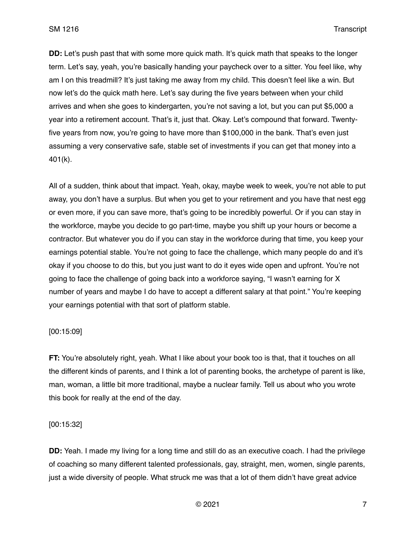**DD:** Let's push past that with some more quick math. It's quick math that speaks to the longer term. Let's say, yeah, you're basically handing your paycheck over to a sitter. You feel like, why am I on this treadmill? It's just taking me away from my child. This doesn't feel like a win. But now let's do the quick math here. Let's say during the five years between when your child arrives and when she goes to kindergarten, you're not saving a lot, but you can put \$5,000 a year into a retirement account. That's it, just that. Okay. Let's compound that forward. Twentyfive years from now, you're going to have more than \$100,000 in the bank. That's even just assuming a very conservative safe, stable set of investments if you can get that money into a 401(k).

All of a sudden, think about that impact. Yeah, okay, maybe week to week, you're not able to put away, you don't have a surplus. But when you get to your retirement and you have that nest egg or even more, if you can save more, that's going to be incredibly powerful. Or if you can stay in the workforce, maybe you decide to go part-time, maybe you shift up your hours or become a contractor. But whatever you do if you can stay in the workforce during that time, you keep your earnings potential stable. You're not going to face the challenge, which many people do and it's okay if you choose to do this, but you just want to do it eyes wide open and upfront. You're not going to face the challenge of going back into a workforce saying, "I wasn't earning for X number of years and maybe I do have to accept a different salary at that point." You're keeping your earnings potential with that sort of platform stable.

#### [00:15:09]

**FT:** You're absolutely right, yeah. What I like about your book too is that, that it touches on all the different kinds of parents, and I think a lot of parenting books, the archetype of parent is like, man, woman, a little bit more traditional, maybe a nuclear family. Tell us about who you wrote this book for really at the end of the day.

#### [00:15:32]

**DD:** Yeah. I made my living for a long time and still do as an executive coach. I had the privilege of coaching so many different talented professionals, gay, straight, men, women, single parents, just a wide diversity of people. What struck me was that a lot of them didn't have great advice

 $\odot$  2021 7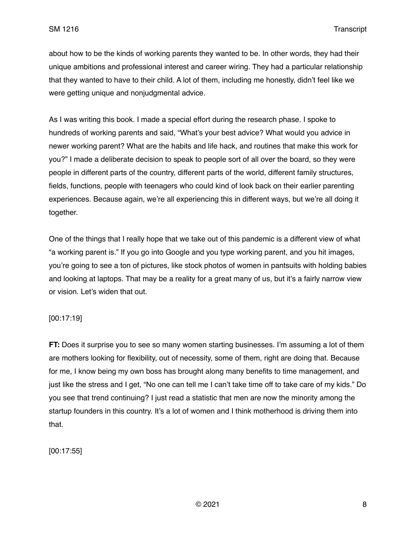about how to be the kinds of working parents they wanted to be. In other words, they had their unique ambitions and professional interest and career wiring. They had a particular relationship that they wanted to have to their child. A lot of them, including me honestly, didn't feel like we were getting unique and nonjudgmental advice.

As I was writing this book. I made a special effort during the research phase. I spoke to hundreds of working parents and said, "What's your best advice? What would you advice in newer working parent? What are the habits and life hack, and routines that make this work for you?" I made a deliberate decision to speak to people sort of all over the board, so they were people in different parts of the country, different parts of the world, different family structures, fields, functions, people with teenagers who could kind of look back on their earlier parenting experiences. Because again, we're all experiencing this in different ways, but we're all doing it together.

One of the things that I really hope that we take out of this pandemic is a different view of what "a working parent is." If you go into Google and you type working parent, and you hit images, you're going to see a ton of pictures, like stock photos of women in pantsuits with holding babies and looking at laptops. That may be a reality for a great many of us, but it's a fairly narrow view or vision. Let's widen that out.

[00:17:19]

**FT:** Does it surprise you to see so many women starting businesses. I'm assuming a lot of them are mothers looking for flexibility, out of necessity, some of them, right are doing that. Because for me, I know being my own boss has brought along many benefits to time management, and just like the stress and I get, "No one can tell me I can't take time off to take care of my kids." Do you see that trend continuing? I just read a statistic that men are now the minority among the startup founders in this country. It's a lot of women and I think motherhood is driving them into that.

[00:17:55]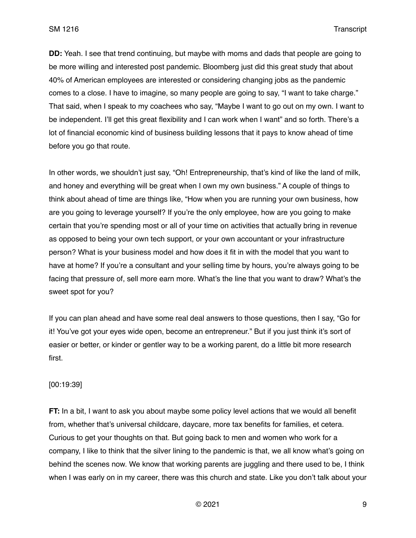**DD:** Yeah. I see that trend continuing, but maybe with moms and dads that people are going to be more willing and interested post pandemic. Bloomberg just did this great study that about 40% of American employees are interested or considering changing jobs as the pandemic comes to a close. I have to imagine, so many people are going to say, "I want to take charge." That said, when I speak to my coachees who say, "Maybe I want to go out on my own. I want to be independent. I'll get this great flexibility and I can work when I want" and so forth. There's a lot of financial economic kind of business building lessons that it pays to know ahead of time before you go that route.

In other words, we shouldn't just say, "Oh! Entrepreneurship, that's kind of like the land of milk, and honey and everything will be great when I own my own business." A couple of things to think about ahead of time are things like, "How when you are running your own business, how are you going to leverage yourself? If you're the only employee, how are you going to make certain that you're spending most or all of your time on activities that actually bring in revenue as opposed to being your own tech support, or your own accountant or your infrastructure person? What is your business model and how does it fit in with the model that you want to have at home? If you're a consultant and your selling time by hours, you're always going to be facing that pressure of, sell more earn more. What's the line that you want to draw? What's the sweet spot for you?

If you can plan ahead and have some real deal answers to those questions, then I say, "Go for it! You've got your eyes wide open, become an entrepreneur." But if you just think it's sort of easier or better, or kinder or gentler way to be a working parent, do a little bit more research first.

### [00:19:39]

**FT:** In a bit, I want to ask you about maybe some policy level actions that we would all benefit from, whether that's universal childcare, daycare, more tax benefits for families, et cetera. Curious to get your thoughts on that. But going back to men and women who work for a company, I like to think that the silver lining to the pandemic is that, we all know what's going on behind the scenes now. We know that working parents are juggling and there used to be, I think when I was early on in my career, there was this church and state. Like you don't talk about your

 $\degree$  2021 9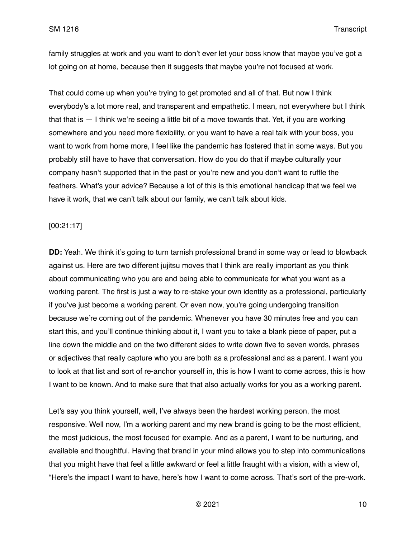family struggles at work and you want to don't ever let your boss know that maybe you've got a lot going on at home, because then it suggests that maybe you're not focused at work.

That could come up when you're trying to get promoted and all of that. But now I think everybody's a lot more real, and transparent and empathetic. I mean, not everywhere but I think that that is — I think we're seeing a little bit of a move towards that. Yet, if you are working somewhere and you need more flexibility, or you want to have a real talk with your boss, you want to work from home more, I feel like the pandemic has fostered that in some ways. But you probably still have to have that conversation. How do you do that if maybe culturally your company hasn't supported that in the past or you're new and you don't want to ruffle the feathers. What's your advice? Because a lot of this is this emotional handicap that we feel we have it work, that we can't talk about our family, we can't talk about kids.

## [00:21:17]

**DD:** Yeah. We think it's going to turn tarnish professional brand in some way or lead to blowback against us. Here are two different jujitsu moves that I think are really important as you think about communicating who you are and being able to communicate for what you want as a working parent. The first is just a way to re-stake your own identity as a professional, particularly if you've just become a working parent. Or even now, you're going undergoing transition because we're coming out of the pandemic. Whenever you have 30 minutes free and you can start this, and you'll continue thinking about it, I want you to take a blank piece of paper, put a line down the middle and on the two different sides to write down five to seven words, phrases or adjectives that really capture who you are both as a professional and as a parent. I want you to look at that list and sort of re-anchor yourself in, this is how I want to come across, this is how I want to be known. And to make sure that that also actually works for you as a working parent.

Let's say you think yourself, well, I've always been the hardest working person, the most responsive. Well now, I'm a working parent and my new brand is going to be the most efficient, the most judicious, the most focused for example. And as a parent, I want to be nurturing, and available and thoughtful. Having that brand in your mind allows you to step into communications that you might have that feel a little awkward or feel a little fraught with a vision, with a view of, "Here's the impact I want to have, here's how I want to come across. That's sort of the pre-work.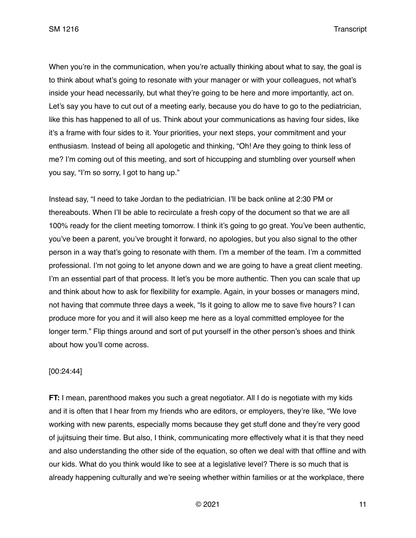When you're in the communication, when you're actually thinking about what to say, the goal is to think about what's going to resonate with your manager or with your colleagues, not what's inside your head necessarily, but what they're going to be here and more importantly, act on. Let's say you have to cut out of a meeting early, because you do have to go to the pediatrician, like this has happened to all of us. Think about your communications as having four sides, like it's a frame with four sides to it. Your priorities, your next steps, your commitment and your enthusiasm. Instead of being all apologetic and thinking, "Oh! Are they going to think less of me? I'm coming out of this meeting, and sort of hiccupping and stumbling over yourself when you say, "I'm so sorry, I got to hang up."

Instead say, "I need to take Jordan to the pediatrician. I'll be back online at 2:30 PM or thereabouts. When I'll be able to recirculate a fresh copy of the document so that we are all 100% ready for the client meeting tomorrow. I think it's going to go great. You've been authentic, you've been a parent, you've brought it forward, no apologies, but you also signal to the other person in a way that's going to resonate with them. I'm a member of the team. I'm a committed professional. I'm not going to let anyone down and we are going to have a great client meeting. I'm an essential part of that process. It let's you be more authentic. Then you can scale that up and think about how to ask for flexibility for example. Again, in your bosses or managers mind, not having that commute three days a week, "Is it going to allow me to save five hours? I can produce more for you and it will also keep me here as a loyal committed employee for the longer term." Flip things around and sort of put yourself in the other person's shoes and think about how you'll come across.

## [00:24:44]

**FT:** I mean, parenthood makes you such a great negotiator. All I do is negotiate with my kids and it is often that I hear from my friends who are editors, or employers, they're like, "We love working with new parents, especially moms because they get stuff done and they're very good of jujitsuing their time. But also, I think, communicating more effectively what it is that they need and also understanding the other side of the equation, so often we deal with that offline and with our kids. What do you think would like to see at a legislative level? There is so much that is already happening culturally and we're seeing whether within families or at the workplace, there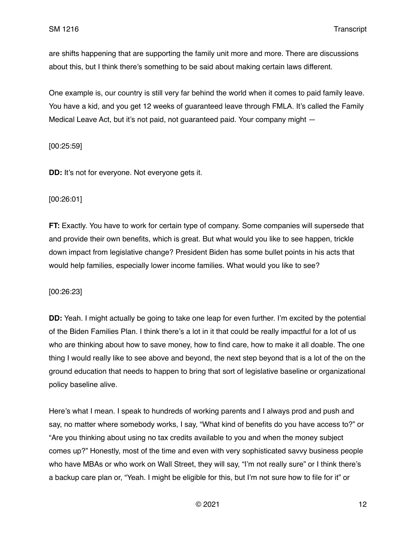are shifts happening that are supporting the family unit more and more. There are discussions about this, but I think there's something to be said about making certain laws different.

One example is, our country is still very far behind the world when it comes to paid family leave. You have a kid, and you get 12 weeks of guaranteed leave through FMLA. It's called the Family Medical Leave Act, but it's not paid, not guaranteed paid. Your company might —

[00:25:59]

**DD:** It's not for everyone. Not everyone gets it.

### [00:26:01]

**FT:** Exactly. You have to work for certain type of company. Some companies will supersede that and provide their own benefits, which is great. But what would you like to see happen, trickle down impact from legislative change? President Biden has some bullet points in his acts that would help families, especially lower income families. What would you like to see?

[00:26:23]

**DD:** Yeah. I might actually be going to take one leap for even further. I'm excited by the potential of the Biden Families Plan. I think there's a lot in it that could be really impactful for a lot of us who are thinking about how to save money, how to find care, how to make it all doable. The one thing I would really like to see above and beyond, the next step beyond that is a lot of the on the ground education that needs to happen to bring that sort of legislative baseline or organizational policy baseline alive.

Here's what I mean. I speak to hundreds of working parents and I always prod and push and say, no matter where somebody works, I say, "What kind of benefits do you have access to?" or "Are you thinking about using no tax credits available to you and when the money subject comes up?" Honestly, most of the time and even with very sophisticated savvy business people who have MBAs or who work on Wall Street, they will say, "I'm not really sure" or I think there's a backup care plan or, "Yeah. I might be eligible for this, but I'm not sure how to file for it" or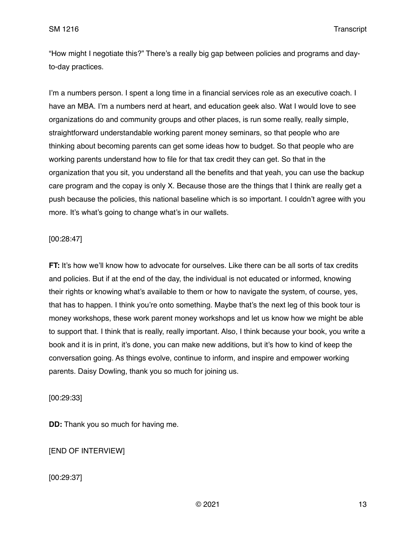"How might I negotiate this?" There's a really big gap between policies and programs and dayto-day practices.

I'm a numbers person. I spent a long time in a financial services role as an executive coach. I have an MBA. I'm a numbers nerd at heart, and education geek also. Wat I would love to see organizations do and community groups and other places, is run some really, really simple, straightforward understandable working parent money seminars, so that people who are thinking about becoming parents can get some ideas how to budget. So that people who are working parents understand how to file for that tax credit they can get. So that in the organization that you sit, you understand all the benefits and that yeah, you can use the backup care program and the copay is only X. Because those are the things that I think are really get a push because the policies, this national baseline which is so important. I couldn't agree with you more. It's what's going to change what's in our wallets.

## [00:28:47]

**FT:** It's how we'll know how to advocate for ourselves. Like there can be all sorts of tax credits and policies. But if at the end of the day, the individual is not educated or informed, knowing their rights or knowing what's available to them or how to navigate the system, of course, yes, that has to happen. I think you're onto something. Maybe that's the next leg of this book tour is money workshops, these work parent money workshops and let us know how we might be able to support that. I think that is really, really important. Also, I think because your book, you write a book and it is in print, it's done, you can make new additions, but it's how to kind of keep the conversation going. As things evolve, continue to inform, and inspire and empower working parents. Daisy Dowling, thank you so much for joining us.

## [00:29:33]

**DD:** Thank you so much for having me.

# [END OF INTERVIEW]

[00:29:37]